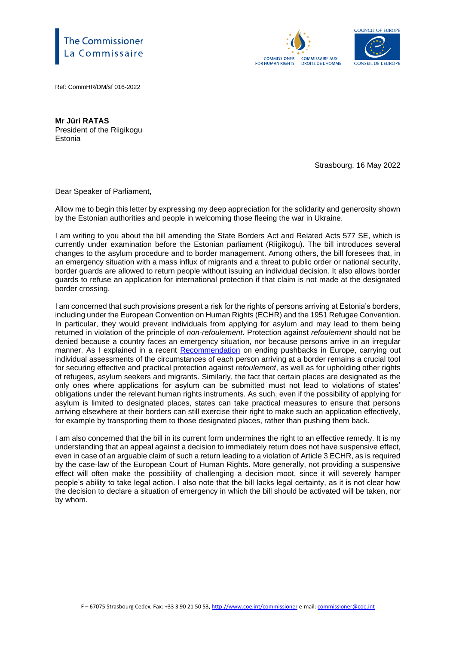## e Commissioner Commissaire





Ref: CommHR/DM/sf 016-2022

**Mr Jüri RATAS** President of the Riigikogu Estonia

Strasbourg, 16 May 2022

Dear Speaker of Parliament,

Allow me to begin this letter by expressing my deep appreciation for the solidarity and generosity shown by the Estonian authorities and people in welcoming those fleeing the war in Ukraine.

I am writing to you about the bill amending the State Borders Act and Related Acts 577 SE, which is currently under examination before the Estonian parliament (Riigikogu). The bill introduces several changes to the asylum procedure and to border management. Among others, the bill foresees that, in an emergency situation with a mass influx of migrants and a threat to public order or national security, border guards are allowed to return people without issuing an individual decision. It also allows border guards to refuse an application for international protection if that claim is not made at the designated border crossing.

I am concerned that such provisions present a risk for the rights of persons arriving at Estonia's borders, including under the European Convention on Human Rights (ECHR) and the 1951 Refugee Convention. In particular, they would prevent individuals from applying for asylum and may lead to them being returned in violation of the principle of *non-refoulement*. Protection against *refoulement* should not be denied because a country faces an emergency situation, nor because persons arrive in an irregular manner. As I explained in a recent [Recommendation](https://rm.coe.int/pushed-beyond-the-limits-urgent-action-needed-to-end-human-rights-viol/1680a5a14d) on ending pushbacks in Europe, carrying out individual assessments of the circumstances of each person arriving at a border remains a crucial tool for securing effective and practical protection against *refoulement*, as well as for upholding other rights of refugees, asylum seekers and migrants. Similarly, the fact that certain places are designated as the only ones where applications for asylum can be submitted must not lead to violations of states' obligations under the relevant human rights instruments. As such, even if the possibility of applying for asylum is limited to designated places, states can take practical measures to ensure that persons arriving elsewhere at their borders can still exercise their right to make such an application effectively, for example by transporting them to those designated places, rather than pushing them back.

I am also concerned that the bill in its current form undermines the right to an effective remedy. It is my understanding that an appeal against a decision to immediately return does not have suspensive effect, even in case of an arguable claim of such a return leading to a violation of Article 3 ECHR, as is required by the case-law of the European Court of Human Rights. More generally, not providing a suspensive effect will often make the possibility of challenging a decision moot, since it will severely hamper people's ability to take legal action. I also note that the bill lacks legal certainty, as it is not clear how the decision to declare a situation of emergency in which the bill should be activated will be taken, nor by whom.